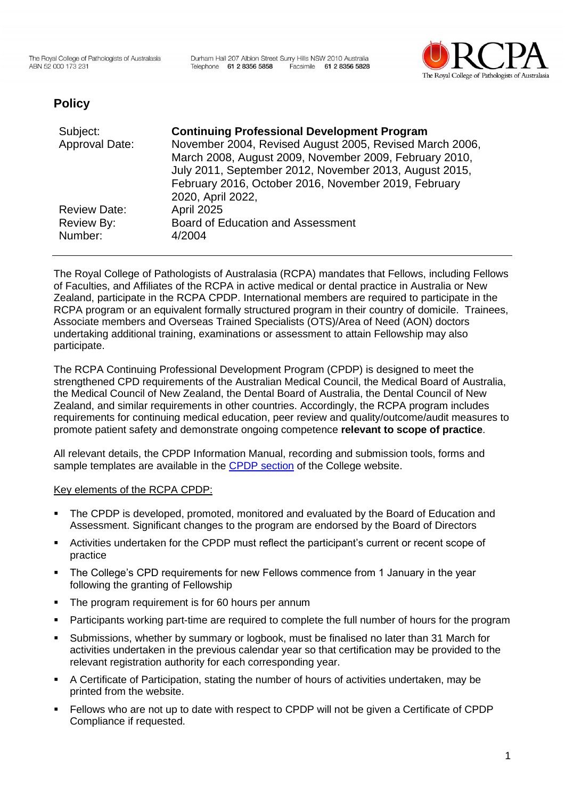Durham Hall 207 Albion Street Surry Hills NSW 2010 Australia Telephone 61 2 8356 5858 Facsimile 61 2 8356 5828



# **Policy**

| Subject:<br>Approval Date:               | <b>Continuing Professional Development Program</b><br>November 2004, Revised August 2005, Revised March 2006,<br>March 2008, August 2009, November 2009, February 2010,<br>July 2011, September 2012, November 2013, August 2015,<br>February 2016, October 2016, November 2019, February<br>2020, April 2022, |
|------------------------------------------|----------------------------------------------------------------------------------------------------------------------------------------------------------------------------------------------------------------------------------------------------------------------------------------------------------------|
| <b>Review Date:</b><br><b>Review By:</b> | <b>April 2025</b><br><b>Board of Education and Assessment</b>                                                                                                                                                                                                                                                  |
| Number:                                  | 4/2004                                                                                                                                                                                                                                                                                                         |

The Royal College of Pathologists of Australasia (RCPA) mandates that Fellows, including Fellows of Faculties, and Affiliates of the RCPA in active medical or dental practice in Australia or New Zealand, participate in the RCPA CPDP. International members are required to participate in the RCPA program or an equivalent formally structured program in their country of domicile. Trainees, Associate members and Overseas Trained Specialists (OTS)/Area of Need (AON) doctors undertaking additional training, examinations or assessment to attain Fellowship may also participate.

The RCPA Continuing Professional Development Program (CPDP) is designed to meet the strengthened CPD requirements of the Australian Medical Council, the Medical Board of Australia, the Medical Council of New Zealand, the Dental Board of Australia, the Dental Council of New Zealand, and similar requirements in other countries. Accordingly, the RCPA program includes requirements for continuing medical education, peer review and quality/outcome/audit measures to promote patient safety and demonstrate ongoing competence **relevant to scope of practice**.

All relevant details, the CPDP Information Manual, recording and submission tools, forms and sample templates are available in the CPDP [section](https://www.rcpa.edu.au/CPD/About-The-Program) of the College website.

#### Key elements of the RCPA CPDP:

- The CPDP is developed, promoted, monitored and evaluated by the Board of Education and Assessment. Significant changes to the program are endorsed by the Board of Directors
- Activities undertaken for the CPDP must reflect the participant's current or recent scope of practice
- The College's CPD requirements for new Fellows commence from 1 January in the year following the granting of Fellowship
- **•** The program requirement is for 60 hours per annum
- Participants working part-time are required to complete the full number of hours for the program
- Submissions, whether by summary or logbook, must be finalised no later than 31 March for activities undertaken in the previous calendar year so that certification may be provided to the relevant registration authority for each corresponding year.
- A Certificate of Participation, stating the number of hours of activities undertaken, may be printed from the website.
- Fellows who are not up to date with respect to CPDP will not be given a Certificate of CPDP Compliance if requested.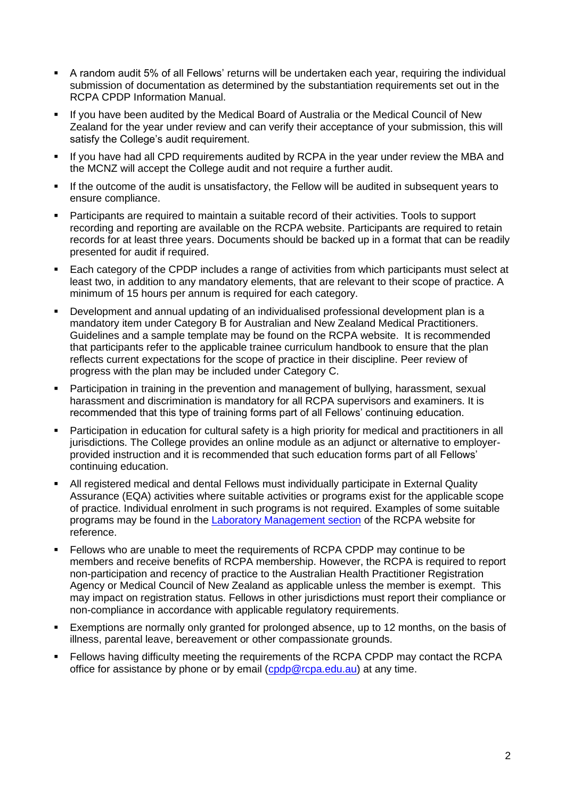- A random audit 5% of all Fellows' returns will be undertaken each year, requiring the individual submission of documentation as determined by the substantiation requirements set out in the RCPA CPDP Information Manual.
- If you have been audited by the Medical Board of Australia or the Medical Council of New Zealand for the year under review and can verify their acceptance of your submission, this will satisfy the College's audit requirement.
- If you have had all CPD requirements audited by RCPA in the year under review the MBA and the MCNZ will accept the College audit and not require a further audit.
- If the outcome of the audit is unsatisfactory, the Fellow will be audited in subsequent years to ensure compliance.
- Participants are required to maintain a suitable record of their activities. Tools to support recording and reporting are available on the RCPA website. Participants are required to retain records for at least three years. Documents should be backed up in a format that can be readily presented for audit if required.
- Each category of the CPDP includes a range of activities from which participants must select at least two, in addition to any mandatory elements, that are relevant to their scope of practice. A minimum of 15 hours per annum is required for each category.
- Development and annual updating of an individualised professional development plan is a mandatory item under Category B for Australian and New Zealand Medical Practitioners. Guidelines and a sample template may be found on the RCPA website. It is recommended that participants refer to the applicable trainee curriculum handbook to ensure that the plan reflects current expectations for the scope of practice in their discipline. Peer review of progress with the plan may be included under Category C.
- **Participation in training in the prevention and management of bullying, harassment, sexual** harassment and discrimination is mandatory for all RCPA supervisors and examiners. It is recommended that this type of training forms part of all Fellows' continuing education.
- **•** Participation in education for cultural safety is a high priority for medical and practitioners in all jurisdictions. The College provides an online module as an adjunct or alternative to employerprovided instruction and it is recommended that such education forms part of all Fellows' continuing education.
- All registered medical and dental Fellows must individually participate in External Quality Assurance (EQA) activities where suitable activities or programs exist for the applicable scope of practice. Individual enrolment in such programs is not required. Examples of some suitable programs may be found in the [Laboratory Management section](https://www.rcpa.edu.au/Education/Laboratory-Management/Quality-Management/Quality-Assurance) of the RCPA website for reference.
- Fellows who are unable to meet the requirements of RCPA CPDP may continue to be members and receive benefits of RCPA membership. However, the RCPA is required to report non-participation and recency of practice to the Australian Health Practitioner Registration Agency or Medical Council of New Zealand as applicable unless the member is exempt. This may impact on registration status. Fellows in other jurisdictions must report their compliance or non-compliance in accordance with applicable regulatory requirements.
- **Exemptions are normally only granted for prolonged absence, up to 12 months, on the basis of** illness, parental leave, bereavement or other compassionate grounds.
- Fellows having difficulty meeting the requirements of the RCPA CPDP may contact the RCPA office for assistance by phone or by email [\(cpdp@rcpa.edu.au\)](mailto:cpdp@rcpa.edu.au) at any time.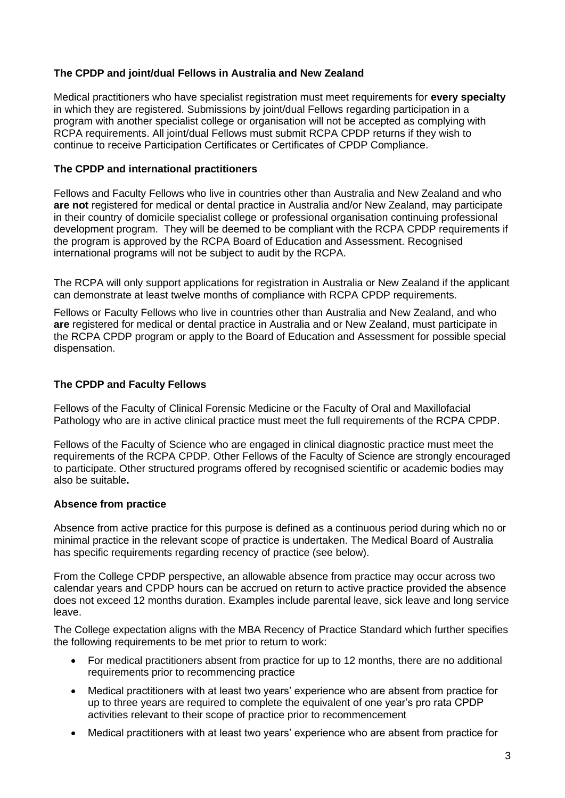### **The CPDP and joint/dual Fellows in Australia and New Zealand**

Medical practitioners who have specialist registration must meet requirements for **every specialty** in which they are registered. Submissions by joint/dual Fellows regarding participation in a program with another specialist college or organisation will not be accepted as complying with RCPA requirements. All joint/dual Fellows must submit RCPA CPDP returns if they wish to continue to receive Participation Certificates or Certificates of CPDP Compliance.

#### **The CPDP and international practitioners**

Fellows and Faculty Fellows who live in countries other than Australia and New Zealand and who **are not** registered for medical or dental practice in Australia and/or New Zealand, may participate in their country of domicile specialist college or professional organisation continuing professional development program. They will be deemed to be compliant with the RCPA CPDP requirements if the program is approved by the RCPA Board of Education and Assessment. Recognised international programs will not be subject to audit by the RCPA.

The RCPA will only support applications for registration in Australia or New Zealand if the applicant can demonstrate at least twelve months of compliance with RCPA CPDP requirements.

Fellows or Faculty Fellows who live in countries other than Australia and New Zealand, and who **are** registered for medical or dental practice in Australia and or New Zealand, must participate in the RCPA CPDP program or apply to the Board of Education and Assessment for possible special dispensation.

### **The CPDP and Faculty Fellows**

Fellows of the Faculty of Clinical Forensic Medicine or the Faculty of Oral and Maxillofacial Pathology who are in active clinical practice must meet the full requirements of the RCPA CPDP.

Fellows of the Faculty of Science who are engaged in clinical diagnostic practice must meet the requirements of the RCPA CPDP. Other Fellows of the Faculty of Science are strongly encouraged to participate. Other structured programs offered by recognised scientific or academic bodies may also be suitable**.** 

#### **Absence from practice**

Absence from active practice for this purpose is defined as a continuous period during which no or minimal practice in the relevant scope of practice is undertaken. The Medical Board of Australia has specific requirements regarding recency of practice (see below).

From the College CPDP perspective, an allowable absence from practice may occur across two calendar years and CPDP hours can be accrued on return to active practice provided the absence does not exceed 12 months duration. Examples include parental leave, sick leave and long service leave.

The College expectation aligns with the MBA Recency of Practice Standard which further specifies the following requirements to be met prior to return to work:

- For medical practitioners absent from practice for up to 12 months, there are no additional requirements prior to recommencing practice
- Medical practitioners with at least two years' experience who are absent from practice for up to three years are required to complete the equivalent of one year's pro rata CPDP activities relevant to their scope of practice prior to recommencement
- Medical practitioners with at least two years' experience who are absent from practice for